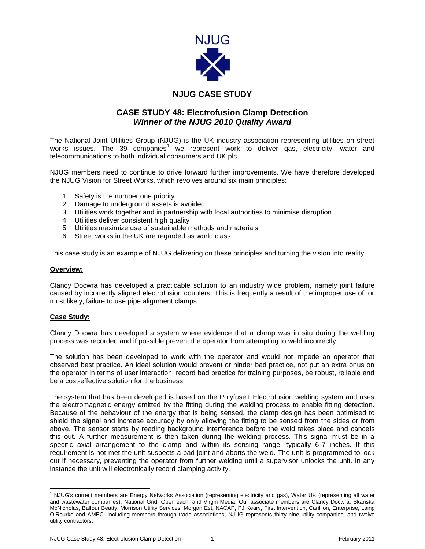

## **NJUG CASE STUDY**

## **CASE STUDY 48: Electrofusion Clamp Detection** *Winner of the NJUG 2010 Quality Award*

The National Joint Utilities Group (NJUG) is the UK industry association representing utilities on street works issues. The 39 companies<sup>1</sup> we represent work to deliver gas, electricity, water and telecommunications to both individual consumers and UK plc.

NJUG members need to continue to drive forward further improvements. We have therefore developed the NJUG Vision for Street Works, which revolves around six main principles:

- 1. Safety is the number one priority
- 2. Damage to underground assets is avoided
- 3. Utilities work together and in partnership with local authorities to minimise disruption
- 4. Utilities deliver consistent high quality
- 5. Utilities maximize use of sustainable methods and materials
- 6. Street works in the UK are regarded as world class

This case study is an example of NJUG delivering on these principles and turning the vision into reality.

## **Overview:**

Clancy Docwra has developed a practicable solution to an industry wide problem, namely joint failure caused by incorrectly aligned electrofusion couplers. This is frequently a result of the improper use of, or most likely, failure to use pipe alignment clamps.

## **Case Study:**

 $\overline{\phantom{a}}$ 

Clancy Docwra has developed a system where evidence that a clamp was in situ during the welding process was recorded and if possible prevent the operator from attempting to weld incorrectly.

The solution has been developed to work with the operator and would not impede an operator that observed best practice. An ideal solution would prevent or hinder bad practice, not put an extra onus on the operator in terms of user interaction, record bad practice for training purposes, be robust, reliable and be a cost-effective solution for the business.

The system that has been developed is based on the Polyfuse+ Electrofusion welding system and uses the electromagnetic energy emitted by the fitting during the welding process to enable fitting detection. Because of the behaviour of the energy that is being sensed, the clamp design has been optimised to shield the signal and increase accuracy by only allowing the fitting to be sensed from the sides or from above. The sensor starts by reading background interference before the weld takes place and cancels this out. A further measurement is then taken during the welding process. This signal must be in a specific axial arrangement to the clamp and within its sensing range, typically 6-7 inches. If this requirement is not met the unit suspects a bad joint and aborts the weld. The unit is programmed to lock out if necessary, preventing the operator from further welding until a supervisor unlocks the unit. In any instance the unit will electronically record clamping activity.

<sup>1</sup> NJUG's current members are Energy Networks Association (representing electricity and gas), Water UK (representing all water and wastewater companies), National Grid, Openreach, and Virgin Media. Our associate members are Clancy Docwra, Skanska McNicholas, Balfour Beatty, Morrison Utility Services, Morgan Est, NACAP, PJ Keary, First Intervention, Carillion, Enterprise, Laing O'Rourke and AMEC. Including members through trade associations, NJUG represents thirty-nine utility companies, and twelve utility contractors.